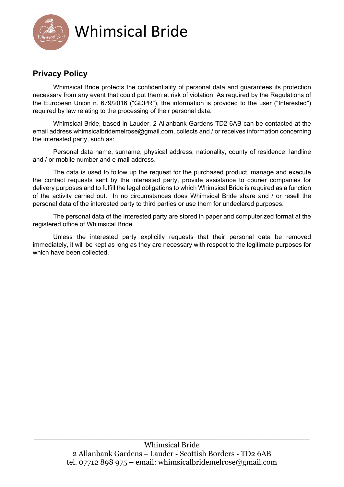

## **Privacy Policy**

Whimsical Bride protects the confidentiality of personal data and guarantees its protection necessary from any event that could put them at risk of violation. As required by the Regulations of the European Union n. 679/2016 ("GDPR"), the information is provided to the user ("Interested") required by law relating to the processing of their personal data.

Whimsical Bride, based in Lauder, 2 Allanbank Gardens TD2 6AB can be contacted at the email address whimsicalbridemelrose@gmail.com, collects and / or receives information concerning the interested party, such as:

Personal data name, surname, physical address, nationality, county of residence, landline and / or mobile number and e-mail address.

The data is used to follow up the request for the purchased product, manage and execute the contact requests sent by the interested party, provide assistance to courier companies for delivery purposes and to fulfill the legal obligations to which Whimsical Bride is required as a function of the activity carried out. In no circumstances does Whimsical Bride share and / or resell the personal data of the interested party to third parties or use them for undeclared purposes.

The personal data of the interested party are stored in paper and computerized format at the registered office of Whimsical Bride.

Unless the interested party explicitly requests that their personal data be removed immediately, it will be kept as long as they are necessary with respect to the legitimate purposes for which have been collected.

\_\_\_\_\_\_\_\_\_\_\_\_\_\_\_\_\_\_\_\_\_\_\_\_\_\_\_\_\_\_\_\_\_\_\_\_\_\_\_\_\_\_\_\_\_\_\_\_\_\_\_\_\_\_\_\_\_